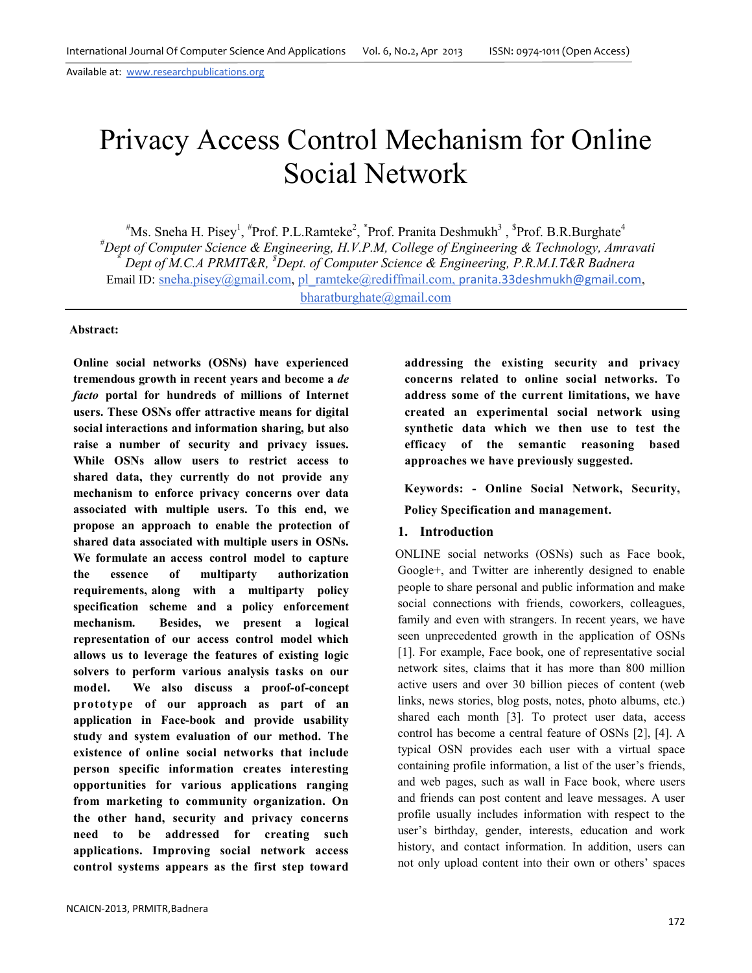# Privacy Access Control Mechanism for Online Social Network

#Ms. Sneha H. Pisey<sup>1</sup>, #Prof. P.L.Ramteke<sup>2</sup>, \*Prof. Pranita Deshmukh<sup>3</sup>, <sup>\$</sup>Prof. B.R.Burghate<sup>4</sup> *#Dept of Computer Science & Engineering, H.V.P.M, College of Engineering & Technology, Amravati \* Dept of M.C.A PRMIT&R, \$Dept. of Computer Science & Engineering, P.R.M.I.T&R Badnera*  Email ID: sneha.pisey@gmail.com, pl\_ramteke@rediffmail.com, pranita.33deshmukh@gmail.com, bharatburghate@gmail.com

#### **Abstract:**

**Online social networks (OSNs) have experienced tremendous growth in recent years and become a** *de facto* **portal for hundreds of millions of Internet users. These OSNs offer attractive means for digital social interactions and information sharing, but also raise a number of security and privacy issues. While OSNs allow users to restrict access to shared data, they currently do not provide any mechanism to enforce privacy concerns over data associated with multiple users. To this end, we propose an approach to enable the protection of shared data associated with multiple users in OSNs. We formulate an access control model to capture the essence of multiparty authorization requirements, along with a multiparty policy specification scheme and a policy enforcement mechanism. Besides, we present a logical representation of our access control model which allows us to leverage the features of existing logic solvers to perform various analysis tasks on our model. We also discuss a proof-of-concept prototype of our approach as part of an application in Face-book and provide usability study and system evaluation of our method. The existence of online social networks that include person specific information creates interesting opportunities for various applications ranging from marketing to community organization. On the other hand, security and privacy concerns need to be addressed for creating such applications. Improving social network access control systems appears as the first step toward**  **addressing the existing security and privacy concerns related to online social networks. To address some of the current limitations, we have created an experimental social network using synthetic data which we then use to test the efficacy of the semantic reasoning based approaches we have previously suggested.** 

**Keywords: - Online Social Network, Security,** 

**Policy Specification and management.** 

#### **1. Introduction**

ONLINE social networks (OSNs) such as Face book, Google+, and Twitter are inherently designed to enable people to share personal and public information and make social connections with friends, coworkers, colleagues, family and even with strangers. In recent years, we have seen unprecedented growth in the application of OSNs [1]. For example, Face book, one of representative social network sites, claims that it has more than 800 million active users and over 30 billion pieces of content (web links, news stories, blog posts, notes, photo albums, etc.) shared each month [3]. To protect user data, access control has become a central feature of OSNs [2], [4]. A typical OSN provides each user with a virtual space containing profile information, a list of the user's friends, and web pages, such as wall in Face book, where users and friends can post content and leave messages. A user profile usually includes information with respect to the user's birthday, gender, interests, education and work history, and contact information. In addition, users can not only upload content into their own or others' spaces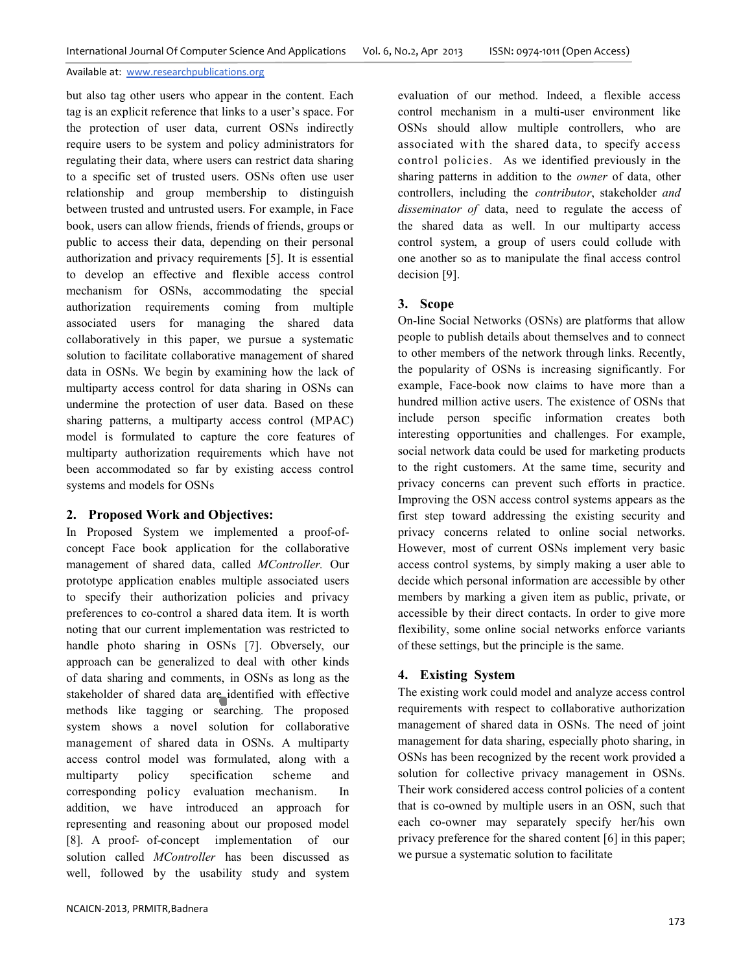but also tag other users who appear in the content. Each tag is an explicit reference that links to a user's space. For the protection of user data, current OSNs indirectly require users to be system and policy administrators for regulating their data, where users can restrict data sharing to a specific set of trusted users. OSNs often use user relationship and group membership to distinguish between trusted and untrusted users. For example, in Face book, users can allow friends, friends of friends, groups or public to access their data, depending on their personal authorization and privacy requirements [5]. It is essential to develop an effective and flexible access control mechanism for OSNs, accommodating the special authorization requirements coming from multiple associated users for managing the shared data collaboratively in this paper, we pursue a systematic solution to facilitate collaborative management of shared data in OSNs. We begin by examining how the lack of multiparty access control for data sharing in OSNs can undermine the protection of user data. Based on these sharing patterns, a multiparty access control (MPAC) model is formulated to capture the core features of multiparty authorization requirements which have not been accommodated so far by existing access control systems and models for OSNs but also tag other users who appear in the content. Each tag is an explicit reference that links to a user's space. For the protection of user data, current OSNs indirectly require users to be system and policy administrat Fective and flexible access control<br>SNs, accommodating the special<br>irements coming from multiple<br>for managing the shared data<br>this paper, we pursue a systematic<br>collaborative management of shared<br>begin by examining how the

## **2. Proposed Work and Objectives:**

In Proposed System we implemented a proof-ofconcept Face book application for the collaborative management of shared data, called *MController*. Our prototype application enables multiple associated users to specify their authorization policies and privacy preferences to co-control a shared data item. It is worth noting that our current implementation was s restricted to handle photo sharing in OSNs [7]. Obversely, our approach can be generalized to deal with other kinds of data sharing and comments, in OSNs as long as the stakeholder of shared data are identified with effective methods like tagging or searching. The proposed system shows a novel solution for collaborative management of shared data in OSNs. A A multiparty access control model was formulated, a along with a multiparty policy specification corresponding policy evaluation mechanism mechanism. In addition, we have introduced an ap approach for representing and reasoning about our proposed model [8]. A proof- of-concept implementation solution called *MController* has been discussed as well, followed by the usability study and system scheme and of our

evaluation of our method. Indeed, a flexible access control mechanism in a multi-user environment like OSNs should allow multiple controllers, who are associated with the shared data, to specify access control policies. As we identified previously in the sharing patterns in addition to th he *owner* of data, other controllers, including the *contri ributor*, stakeholder *and disseminator of* data, need to regulate the access of the shared data as well. In our multiparty access control system, a group of users could collude with one another so as to manipulate the final access control decision [9].

# **3. Scope**

On-line Social Networks (OSNs) are platforms that allow people to publish details about themselves and to connect to other members of the network through links. Recently, the popularity of OSNs is increasing significantly. For example, Face-book now claims to have more than a hundred million active users. The existence of OSNs that include person specific information creates both interesting opportunities and challenges. For example, social network data could be used for marketing products to the right customers. At the same time, security and privacy concerns can prevent such efforts in practice. Improving the OSN access control systems appears as the first step toward addressing the existing security and privacy concerns related to online social networks. However, most of current OSNs implement very basic access control systems, by simply making a user able to decide which personal information are accessible by other members by marking a given item as public, private, or accessible by their direct contacts. In order to give more flexibility, some online social networks enforce variants of these settings, but the principle is the same. line Social Networks (OSNs) are platforms that allow<br>ple to publish details about themselves and to connect<br>ther members of the network through links. Recently,<br>popularity of OSNs is increasing significantly. For<br>mple, Fac

# **4. Existing System**

The existing work could model and analyze access control requirements with respect to collaborative authorization management of shared data in OSNs. The need of joint management for data sharing, especially photo sharing, in OSNs has been recognized by the recent work provided a solution for collective privacy management in OSNs. Their work considered access control policies of a content that is co-owned by multiple users in an OSN, such that each co-owner may separately specify her/his own privacy preference for the shared content [6] in this paper; we pursue a systematic solution to facilitate inch personal information are accessible by other<br>by marking a given item as public, private, or<br>experience to give more<br>is one online social networks enforce variants<br>ettings, but the principle is the same.<br>**ting System**<br>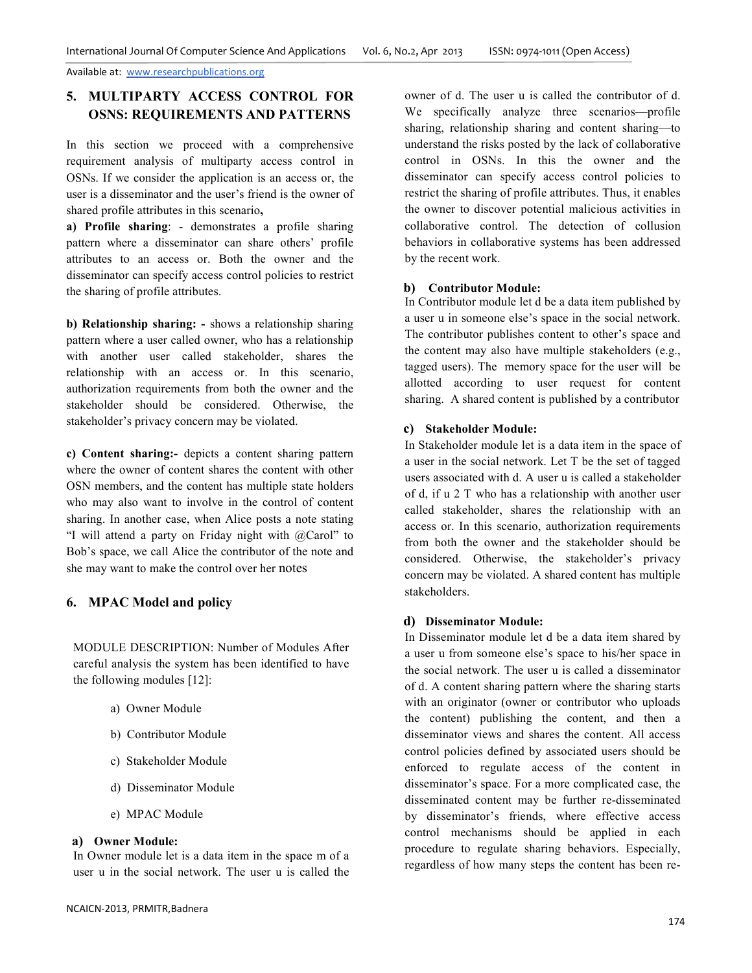# **5. MULTIPARTY ACCESS CONTROL FOR OSNS: REQUIREMENTS AND PATTERNS**

In this section we proceed with a comprehensive requirement analysis of multiparty access control in OSNs. If we consider the application is an access or, the user is a disseminator and the user's friend is the owner of shared profile attributes in this scenario**,** 

**a) Profile sharing**: - demonstrates a profile sharing pattern where a disseminator can share others' profile attributes to an access or. Both the owner and the disseminator can specify access control policies to restrict the sharing of profile attributes.

**b) Relationship sharing: -** shows a relationship sharing pattern where a user called owner, who has a relationship with another user called stakeholder, shares the relationship with an access or. In this scenario, authorization requirements from both the owner and the stakeholder should be considered. Otherwise, the stakeholder's privacy concern may be violated.

**c) Content sharing:-** depicts a content sharing pattern where the owner of content shares the content with other OSN members, and the content has multiple state holders who may also want to involve in the control of content sharing. In another case, when Alice posts a note stating "I will attend a party on Friday night with @Carol" to Bob's space, we call Alice the contributor of the note and she may want to make the control over her notes

# **6. MPAC Model and policy**

MODULE DESCRIPTION: Number of Modules After careful analysis the system has been identified to have the following modules [12]:

- a) Owner Module
- b) Contributor Module
- c) Stakeholder Module
- d) Disseminator Module
- e) MPAC Module

#### **a) Owner Module:**

In Owner module let is a data item in the space m of a user u in the social network. The user u is called the

owner of d. The user u is called the contributor of d. We specifically analyze three scenarios—profile sharing, relationship sharing and content sharing—to understand the risks posted by the lack of collaborative control in OSNs. In this the owner and the disseminator can specify access control policies to restrict the sharing of profile attributes. Thus, it enables the owner to discover potential malicious activities in collaborative control. The detection of collusion behaviors in collaborative systems has been addressed by the recent work.

## **b) Contributor Module:**

In Contributor module let d be a data item published by a user u in someone else's space in the social network. The contributor publishes content to other's space and the content may also have multiple stakeholders (e.g., tagged users). The memory space for the user will be allotted according to user request for content sharing. A shared content is published by a contributor

## **c) Stakeholder Module:**

In Stakeholder module let is a data item in the space of a user in the social network. Let T be the set of tagged users associated with d. A user u is called a stakeholder of d, if u 2 T who has a relationship with another user called stakeholder, shares the relationship with an access or. In this scenario, authorization requirements from both the owner and the stakeholder should be considered. Otherwise, the stakeholder's privacy concern may be violated. A shared content has multiple stakeholders.

# **d) Disseminator Module:**

In Disseminator module let d be a data item shared by a user u from someone else's space to his/her space in the social network. The user u is called a disseminator of d. A content sharing pattern where the sharing starts with an originator (owner or contributor who uploads the content) publishing the content, and then a disseminator views and shares the content. All access control policies defined by associated users should be enforced to regulate access of the content in disseminator's space. For a more complicated case, the disseminated content may be further re-disseminated by disseminator's friends, where effective access control mechanisms should be applied in each procedure to regulate sharing behaviors. Especially, regardless of how many steps the content has been re-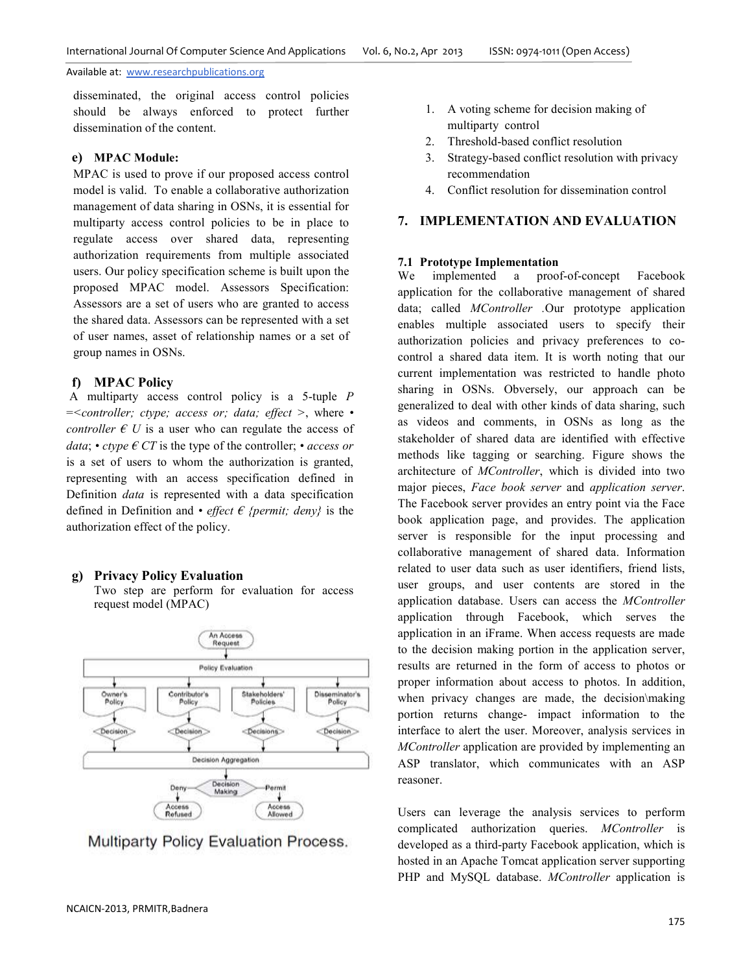disseminated, the original access control policies should be always enforced to protect further dissemination of the content.

# **e) MPAC Module:**

MPAC is used to prove if our proposed access control model is valid. To enable a collaborative authorization management of data sharing in OSNs, it is essential for multiparty access control policies to be in place to regulate access over shared data, representing authorization requirements from multiple associated users. Our policy specification scheme is built upon the proposed MPAC model. Assessors Specification: Assessors are a set of users who are granted to access the shared data. Assessors can be represented with a set of user names, asset of relationship names or a set of group names in OSNs.

#### **f) MPAC Policy**

 A multiparty access control policy is a 5-tuple *P*  =*<controller; ctype; access or; data; effect >*, where *• controller*  $\epsilon$  *U* is a user who can regulate the access of *data*;  $\cdot$  *ctype*  $\epsilon$  *CT* is the type of the controller;  $\cdot$  *access or* is a set of users to whom the authorization is granted, representing with an access specification defined in Definition *data* is represented with a data specification defined in Definition and *• effect € {permit; deny}* is the authorization effect of the policy.

#### **g) Privacy Policy Evaluation**

Two step are perform for evaluation for access request model (MPAC)



Multiparty Policy Evaluation Process.

- 1. A voting scheme for decision making of multiparty control
- 2. Threshold-based conflict resolution
- 3. Strategy-based conflict resolution with privacy recommendation
- 4. Conflict resolution for dissemination control

#### **7. IMPLEMENTATION AND EVALUATION**

#### **7.1 Prototype Implementation**

We implemented a proof-of-concept Facebook application for the collaborative management of shared data; called *MController .*Our prototype application enables multiple associated users to specify their authorization policies and privacy preferences to cocontrol a shared data item. It is worth noting that our current implementation was restricted to handle photo sharing in OSNs. Obversely, our approach can be generalized to deal with other kinds of data sharing, such as videos and comments, in OSNs as long as the stakeholder of shared data are identified with effective methods like tagging or searching. Figure shows the architecture of *MController*, which is divided into two major pieces, *Face book server* and *application server*. The Facebook server provides an entry point via the Face book application page, and provides. The application server is responsible for the input processing and collaborative management of shared data. Information related to user data such as user identifiers, friend lists, user groups, and user contents are stored in the application database. Users can access the *MController*  application through Facebook, which serves the application in an iFrame. When access requests are made to the decision making portion in the application server, results are returned in the form of access to photos or proper information about access to photos. In addition, when privacy changes are made, the decision\making portion returns change- impact information to the interface to alert the user. Moreover, analysis services in *MController* application are provided by implementing an ASP translator, which communicates with an ASP reasoner.

Users can leverage the analysis services to perform complicated authorization queries. *MController* is developed as a third-party Facebook application, which is hosted in an Apache Tomcat application server supporting PHP and MySQL database. *MController* application is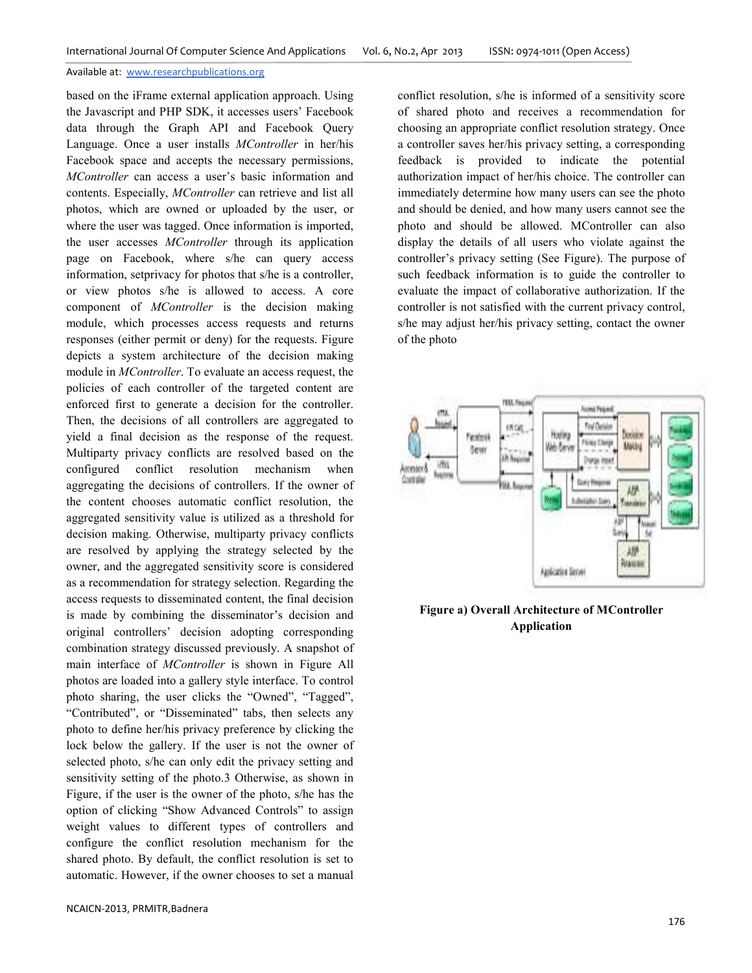based on the iFrame external application approach. Using the Javascript and PHP SDK, it accesses users' Facebook data through the Graph API and Facebook Query Language. Once a user installs *MController* in her/his Facebook space and accepts the necessary permissions, *MController* can access a user's basic information and contents. Especially, *MController* can retrieve and list all photos, which are owned or uploaded by the user, or where the user was tagged. Once information is imported, the user accesses *MController* through its application page on Facebook, where s/he can query access information, setprivacy for photos that s/he is a controller, or view photos s/he is allowed to access. A core component of *MController* is the decision making module, which processes access requests and returns responses (either permit or deny) for the requests. Figure depicts a system architecture of the decision making module in *MController*. To evaluate an access request, the policies of each controller of the targeted content are enforced first to generate a decision for the controller. Then, the decisions of all controllers are aggregated to yield a final decision as the response of the request. Multiparty privacy conflicts are resolved based on the configured conflict resolution mechanism when aggregating the decisions of controllers. If the owner of the content chooses automatic conflict resolution, the aggregated sensitivity value is utilized as a threshold for decision making. Otherwise, multiparty privacy conflicts are resolved by applying the strategy selected by the owner, and the aggregated sensitivity score is considered as a recommendation for strategy selection. Regarding the access requests to disseminated content, the final decision is made by combining the disseminator's decision and original controllers' decision adopting corresponding combination strategy discussed previously. A snapshot of main interface of *MController* is shown in Figure All photos are loaded into a gallery style interface. To control photo sharing, the user clicks the "Owned", "Tagged", "Contributed", or "Disseminated" tabs, then selects any photo to define her/his privacy preference by clicking the lock below the gallery. If the user is not the owner of selected photo, s/he can only edit the privacy setting and sensitivity setting of the photo.3 Otherwise, as shown in Figure, if the user is the owner of the photo, s/he has the option of clicking "Show Advanced Controls" to assign weight values to different types of controllers and configure the conflict resolution mechanism for the shared photo. By default, the conflict resolution is set to automatic. However, if the owner chooses to set a manual conflict resolution, s/he is informed of a sensitivity score of shared photo and receives a recommendation for choosing an appropriate conflict resolution strategy. Once a controller saves her/his privacy setting, a corresponding feedback is provided to indicate the potential authorization impact of her/his choice. The controller can immediately determine how many users can see the photo and should be denied, and how many users cannot see the photo and should be allowed. MController can also display the details of all users who violate against the controller's privacy setting (See Figure). The purpose of such feedback information is to guide the controller to evaluate the impact of collaborative authorization. If the controller is not satisfied with the current privacy control, s/he may adjust her/his privacy setting, contact the owner of the photo



**Figure a) Overall Architecture of MController Application**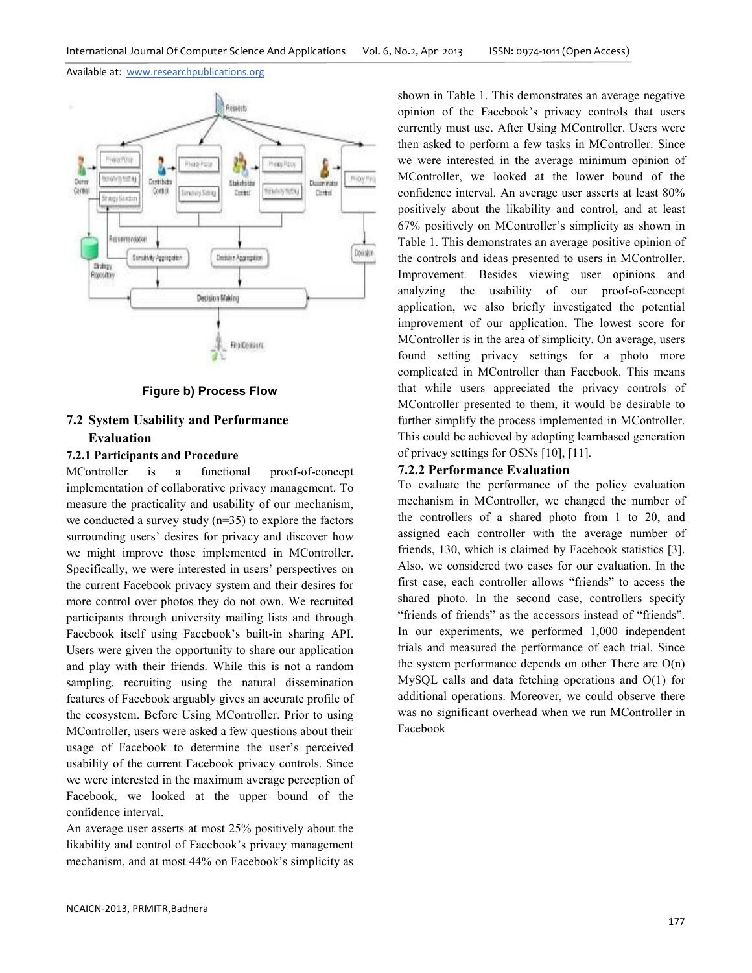

### **Figure b) Process Flow**

# **7.2 System Usability and Performance Evaluation**

## **7.2.1 Participants and Procedure**

MController is a functional proof-of-concept implementation of collaborative privacy management. To measure the practicality and usability of our mechanism, we conducted a survey study (n=35) to explore the factors surrounding users' desires for privacy and discover how we might improve those implemented in MController. Specifically, we were interested in users' perspectives on the current Facebook privacy system and their desires for more control over photos they do not own. We recruited participants through university mailing lists and through Facebook itself using Facebook's built-in sharing API. Users were given the opportunity to share our application and play with their friends. While this is not a random sampling, recruiting using the natural dissemination features of Facebook arguably gives an accurate profile of the ecosystem. Before Using MController. Prior to using MController, users were asked a few questions about their usage of Facebook to determine the user's perceived usability of the current Facebook privacy controls. Since we were interested in the maximum average perception of Facebook, we looked at the upper bound of the confidence interval.

An average user asserts at most 25% positively about the likability and control of Facebook's privacy management mechanism, and at most 44% on Facebook's simplicity as shown in Table 1. This demonstrates an average negative opinion of the Facebook's privacy controls that users currently must use. After Using MController. Users were then asked to perform a few tasks in MController. Since we were interested in the average minimum opinion of MController, we looked at the lower bound of the confidence interval. An average user asserts at least 80% positively about the likability and control, and at least 67% positively on MController's simplicity as shown in Table 1. This demonstrates an average positive opinion of the controls and ideas presented to users in MController. Improvement. Besides viewing user opinions and analyzing the usability of our proof-of-concept application, we also briefly investigated the potential improvement of our application. The lowest score for MController is in the area of simplicity. On average, users found setting privacy settings for a photo more complicated in MController than Facebook. This means that while users appreciated the privacy controls of MController presented to them, it would be desirable to further simplify the process implemented in MController. This could be achieved by adopting learnbased generation of privacy settings for OSNs [10], [11].

#### **7.2.2 Performance Evaluation**

To evaluate the performance of the policy evaluation mechanism in MController, we changed the number of the controllers of a shared photo from 1 to 20, and assigned each controller with the average number of friends, 130, which is claimed by Facebook statistics [3]. Also, we considered two cases for our evaluation. In the first case, each controller allows "friends" to access the shared photo. In the second case, controllers specify "friends of friends" as the accessors instead of "friends". In our experiments, we performed 1,000 independent trials and measured the performance of each trial. Since the system performance depends on other There are  $O(n)$ MySQL calls and data fetching operations and O(1) for additional operations. Moreover, we could observe there was no significant overhead when we run MController in Facebook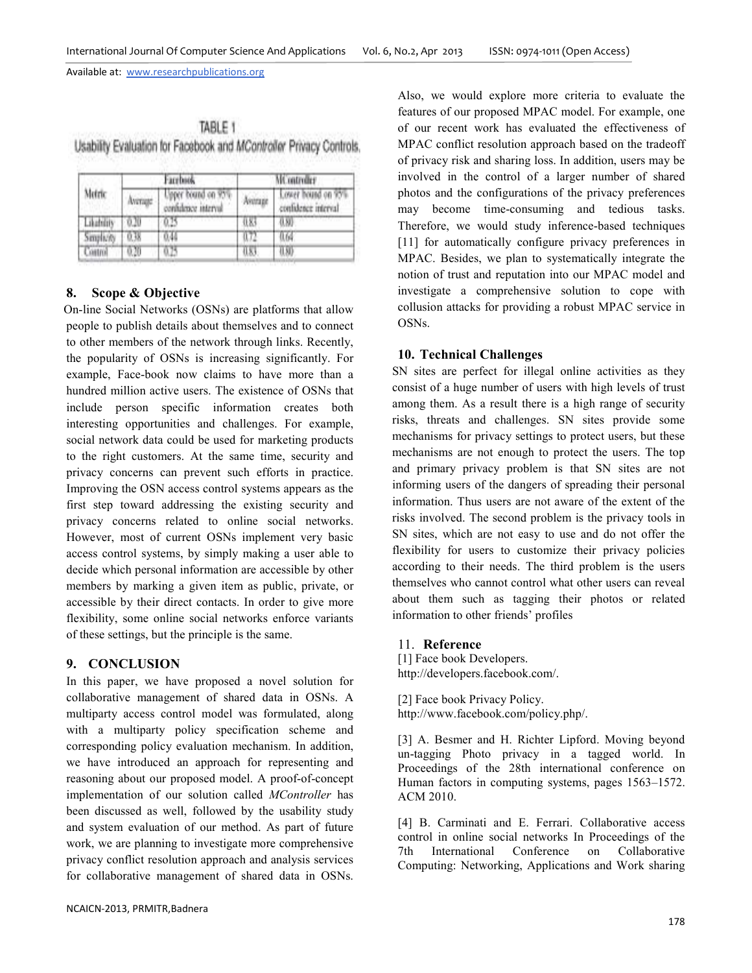| TABLE 1                                                            |  |
|--------------------------------------------------------------------|--|
| Usability Evaluation for Facebook and MController Privacy Controls |  |

|            | Facebook |                                          | <b>MController</b> |                                           |  |
|------------|----------|------------------------------------------|--------------------|-------------------------------------------|--|
| Metric     | Antrage  | Upper bound on 95%<br>confulmee interval | Antage:            | Lower bound on 93%<br>confidence interval |  |
| akability. |          | 875                                      | 0.85               | 机械<br><b>The Company of Company</b>       |  |
| SmithWy    | OB.      | οIJ                                      |                    | Ùδ.                                       |  |
| cettro.    | W        | 875                                      | īк,                | īΜ                                        |  |

# **8. Scope & Objective**

 On-line Social Networks (OSNs) are platforms that allow people to publish details about themselves and to connect to other members of the network through links. Recently, the popularity of OSNs is increasing significantly. For example, Face-book now claims to have more than a hundred million active users. The existence of OSNs that include person specific information creates both interesting opportunities and challenges. For example, social network data could be used for marketing products to the right customers. At the same time, security and privacy concerns can prevent such efforts in practice. Improving the OSN access control systems appears as the first step toward addressing the existing security and privacy concerns related to online social networks. However, most of current OSNs implement very basic access control systems, by simply making a user able to decide which personal information are accessible by other members by marking a given item as public, private, or accessible by their direct contacts. In order to give more flexibility, some online social networks enforce variants of these settings, but the principle is the same.

# **9. CONCLUSION**

In this paper, we have proposed a novel solution for collaborative management of shared data in OSNs. A multiparty access control model was formulated, along with a multiparty policy specification scheme and corresponding policy evaluation mechanism. In addition, we have introduced an approach for representing and reasoning about our proposed model. A proof-of-concept implementation of our solution called *MController* has been discussed as well, followed by the usability study and system evaluation of our method. As part of future work, we are planning to investigate more comprehensive privacy conflict resolution approach and analysis services for collaborative management of shared data in OSNs.

Also, we would explore more criteria to evaluate the features of our proposed MPAC model. For example, one of our recent work has evaluated the effectiveness of MPAC conflict resolution approach based on the tradeoff of privacy risk and sharing loss. In addition, users may be involved in the control of a larger number of shared photos and the configurations of the privacy preferences may become time-consuming and tedious tasks. Therefore, we would study inference-based techniques [11] for automatically configure privacy preferences in MPAC. Besides, we plan to systematically integrate the notion of trust and reputation into our MPAC model and investigate a comprehensive solution to cope with collusion attacks for providing a robust MPAC service in OSNs.

# **10. Technical Challenges**

SN sites are perfect for illegal online activities as they consist of a huge number of users with high levels of trust among them. As a result there is a high range of security risks, threats and challenges. SN sites provide some mechanisms for privacy settings to protect users, but these mechanisms are not enough to protect the users. The top and primary privacy problem is that SN sites are not informing users of the dangers of spreading their personal information. Thus users are not aware of the extent of the risks involved. The second problem is the privacy tools in SN sites, which are not easy to use and do not offer the flexibility for users to customize their privacy policies according to their needs. The third problem is the users themselves who cannot control what other users can reveal about them such as tagging their photos or related information to other friends' profiles

# 11. **Reference**

[1] Face book Developers. http://developers.facebook.com/.

[2] Face book Privacy Policy. http://www.facebook.com/policy.php/.

[3] A. Besmer and H. Richter Lipford. Moving beyond un-tagging Photo privacy in a tagged world. In Proceedings of the 28th international conference on Human factors in computing systems, pages 1563–1572. ACM 2010.

[4] B. Carminati and E. Ferrari. Collaborative access control in online social networks In Proceedings of the 7th International Conference on Collaborative Computing: Networking, Applications and Work sharing